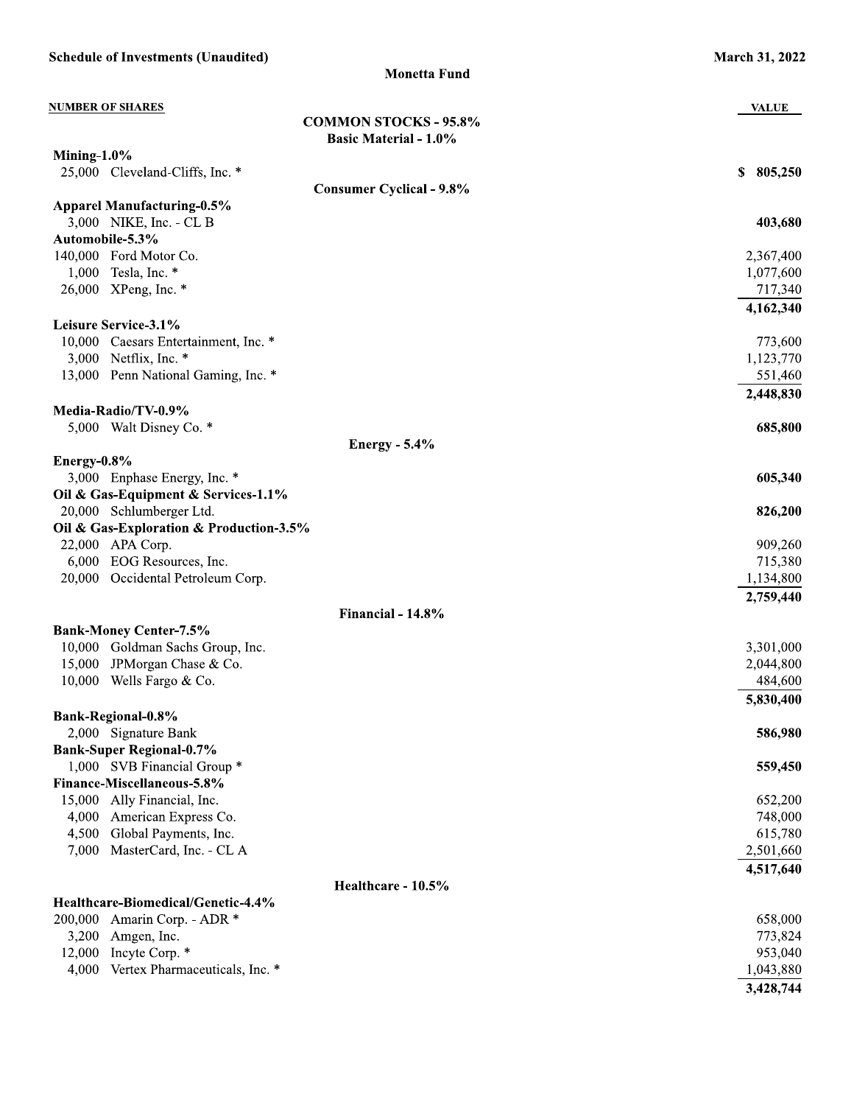| <b>Schedule of Investments (Unaudited)</b>                      | <b>March 31, 2022</b>  |
|-----------------------------------------------------------------|------------------------|
| <b>Monetta Fund</b>                                             |                        |
| <b>NUMBER OF SHARES</b>                                         | <b>VALUE</b>           |
| <b>COMMON STOCKS - 95.8%</b>                                    |                        |
| <b>Basic Material - 1.0%</b>                                    |                        |
| Mining- $1.0\%$<br>25,000 Cleveland-Cliffs, Inc. *              | 805,250<br>\$          |
| <b>Consumer Cyclical - 9.8%</b>                                 |                        |
| <b>Apparel Manufacturing-0.5%</b>                               |                        |
| 3,000 NIKE, Inc. - CL B                                         | 403,680                |
| Automobile-5.3%                                                 |                        |
| 140,000 Ford Motor Co.                                          | 2,367,400              |
| 1,000<br>Tesla, Inc. *                                          | 1,077,600              |
| 26,000 XPeng, Inc. *                                            | 717,340                |
|                                                                 | 4,162,340              |
| Leisure Service-3.1%                                            |                        |
| 10,000 Caesars Entertainment, Inc. *                            | 773,600                |
| 3,000 Netflix, Inc. $*$                                         | 1,123,770              |
| 13,000 Penn National Gaming, Inc. *                             | 551,460                |
|                                                                 | 2,448,830              |
| Media-Radio/TV-0.9%<br>5,000 Walt Disney Co. *                  |                        |
| <b>Energy - 5.4%</b>                                            | 685,800                |
| Energy-0.8%                                                     |                        |
| 3,000 Enphase Energy, Inc. *                                    | 605,340                |
| Oil & Gas-Equipment & Services-1.1%                             |                        |
| 20,000 Schlumberger Ltd.                                        | 826,200                |
| Oil & Gas-Exploration & Production-3.5%                         |                        |
| 22,000 APA Corp.                                                | 909,260                |
| 6,000 EOG Resources, Inc.                                       | 715,380                |
| 20,000 Occidental Petroleum Corp.                               | 1,134,800              |
|                                                                 | 2,759,440              |
| Financial - 14.8%                                               |                        |
| <b>Bank-Money Center-7.5%</b>                                   |                        |
| 10,000 Goldman Sachs Group, Inc.<br>15,000 JPMorgan Chase & Co. | 3,301,000<br>2,044,800 |
| 10,000 Wells Fargo & Co.                                        | 484,600                |
|                                                                 | 5,830,400              |
| Bank-Regional-0.8%                                              |                        |
| 2,000 Signature Bank                                            | 586,980                |
| <b>Bank-Super Regional-0.7%</b>                                 |                        |
| 1,000 SVB Financial Group *                                     | 559,450                |
| Finance-Miscellaneous-5.8%                                      |                        |
| Ally Financial, Inc.<br>15,000                                  | 652,200                |
| 4,000<br>American Express Co.                                   | 748,000                |
| Global Payments, Inc.<br>4,500                                  | 615,780                |
| 7,000<br>MasterCard, Inc. - CL A                                | 2,501,660              |
|                                                                 | 4,517,640              |
| Healthcare - 10.5%                                              |                        |
| Healthcare-Biomedical/Genetic-4.4%                              |                        |
| 200,000<br>Amarin Corp. - ADR *<br>3,200<br>Amgen, Inc.         | 658,000<br>773,824     |
| Incyte Corp. *<br>12,000                                        | 953,040                |
| Vertex Pharmaceuticals, Inc. *<br>4,000                         | 1,043,880              |
|                                                                 | 3,428,744              |
|                                                                 |                        |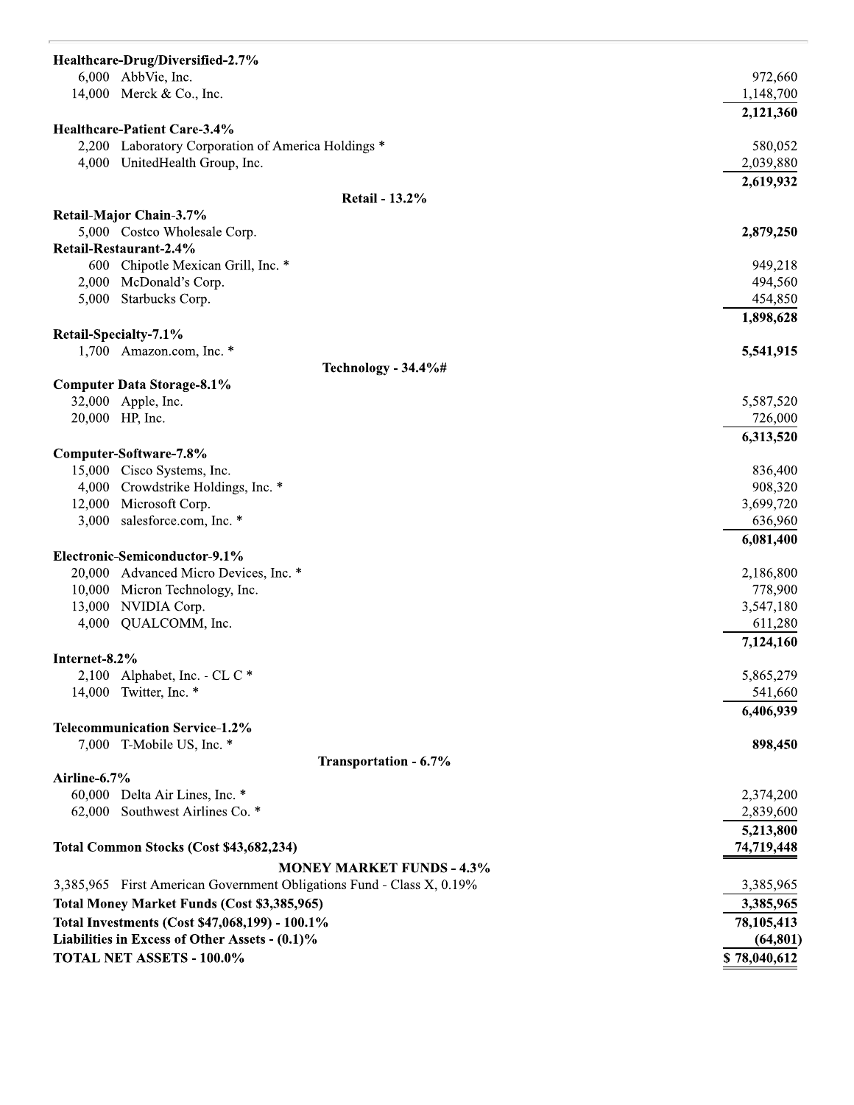| Healthcare-Drug/Diversified-2.7%                                      |              |
|-----------------------------------------------------------------------|--------------|
| 6,000 AbbVie, Inc.                                                    | 972,660      |
| 14,000 Merck & Co., Inc.                                              | 1,148,700    |
|                                                                       | 2,121,360    |
| Healthcare-Patient Care-3.4%                                          |              |
| 2,200 Laboratory Corporation of America Holdings *                    | 580,052      |
| 4,000 UnitedHealth Group, Inc.                                        | 2,039,880    |
| <b>Retail - 13.2%</b>                                                 | 2,619,932    |
| Retail-Major Chain-3.7%                                               |              |
| 5,000 Costco Wholesale Corp.                                          | 2,879,250    |
| Retail-Restaurant-2.4%                                                |              |
| 600 Chipotle Mexican Grill, Inc. *                                    | 949,218      |
| 2,000 McDonald's Corp.                                                | 494,560      |
| 5,000 Starbucks Corp.                                                 | 454,850      |
|                                                                       | 1,898,628    |
| Retail-Specialty-7.1%                                                 |              |
| 1,700 Amazon.com, Inc. *<br>Technology - 34.4%#                       | 5,541,915    |
| <b>Computer Data Storage-8.1%</b>                                     |              |
| 32,000 Apple, Inc.                                                    | 5,587,520    |
| 20,000 HP, Inc.                                                       | 726,000      |
|                                                                       | 6,313,520    |
| Computer-Software-7.8%                                                |              |
| 15,000 Cisco Systems, Inc.                                            | 836,400      |
| 4,000 Crowdstrike Holdings, Inc. *                                    | 908,320      |
| 12,000 Microsoft Corp.                                                | 3,699,720    |
| 3,000 salesforce.com, Inc. *                                          | 636,960      |
|                                                                       | 6,081,400    |
| Electronic-Semiconductor-9.1%                                         |              |
| 20,000 Advanced Micro Devices, Inc. *                                 | 2,186,800    |
| 10,000 Micron Technology, Inc.                                        | 778,900      |
| 13,000 NVIDIA Corp.                                                   | 3,547,180    |
| 4,000 QUALCOMM, Inc.                                                  | 611,280      |
| Internet-8.2%                                                         | 7,124,160    |
| 2,100 Alphabet, Inc. - CL C $*$                                       | 5,865,279    |
| 14,000 Twitter, Inc. *                                                | 541,660      |
|                                                                       | 6,406,939    |
| <b>Telecommunication Service-1.2%</b>                                 |              |
| 7,000 T-Mobile US, Inc. *                                             | 898,450      |
| Transportation - 6.7%                                                 |              |
| Airline-6.7%                                                          |              |
| 60,000 Delta Air Lines, Inc. *                                        | 2,374,200    |
| 62,000 Southwest Airlines Co. *                                       | 2,839,600    |
|                                                                       | 5,213,800    |
| Total Common Stocks (Cost \$43,682,234)                               | 74,719,448   |
| <b>MONEY MARKET FUNDS - 4.3%</b>                                      |              |
| 3,385,965 First American Government Obligations Fund - Class X, 0.19% | 3,385,965    |
| Total Money Market Funds (Cost \$3,385,965)                           | 3,385,965    |
| Total Investments (Cost \$47,068,199) - 100.1%                        | 78,105,413   |
| Liabilities in Excess of Other Assets - (0.1)%                        | (64, 801)    |
| <b>TOTAL NET ASSETS - 100.0%</b>                                      | \$78,040,612 |